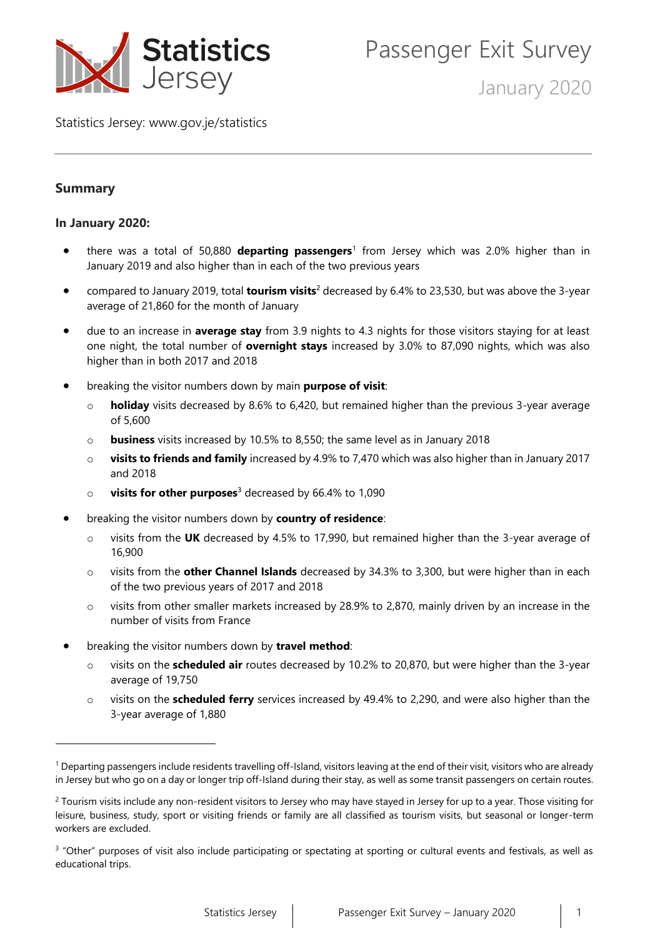

January 2020

Statistics Jersey: [www.gov.je/statistics](https://www.gov.je/statistics)

# **Summary**

## **In January 2020:**

- there was a total of 50,880 **departing passengers**<sup>1</sup> from Jersey which was 2.0% higher than in January 2019 and also higher than in each of the two previous years
- compared to January 2019, total **tourism visits**<sup>2</sup> decreased by 6.4% to 23,530, but was above the 3-year average of 21,860 for the month of January
- due to an increase in **average stay** from 3.9 nights to 4.3 nights for those visitors staying for at least one night, the total number of **overnight stays** increased by 3.0% to 87,090 nights, which was also higher than in both 2017 and 2018
- breaking the visitor numbers down by main **purpose of visit**:
	- o **holiday** visits decreased by 8.6% to 6,420, but remained higher than the previous 3-year average of 5,600
	- o **business** visits increased by 10.5% to 8,550; the same level as in January 2018
	- o **visits to friends and family** increased by 4.9% to 7,470 which was also higher than in January 2017 and 2018
	- o **visits for other purposes**<sup>3</sup> decreased by 66.4% to 1,090
- breaking the visitor numbers down by **country of residence**:
	- o visits from the **UK** decreased by 4.5% to 17,990, but remained higher than the 3-year average of 16,900
	- o visits from the **other Channel Islands** decreased by 34.3% to 3,300, but were higher than in each of the two previous years of 2017 and 2018
	- $\circ$  visits from other smaller markets increased by 28.9% to 2,870, mainly driven by an increase in the number of visits from France
- breaking the visitor numbers down by **travel method**:
	- visits on the **scheduled air** routes decreased by 10.2% to 20,870, but were higher than the 3-year average of 19,750
	- visits on the **scheduled ferry** services increased by 49.4% to 2,290, and were also higher than the 3-year average of 1,880

<sup>&</sup>lt;sup>1</sup> Departing passengers include residents travelling off-Island, visitors leaving at the end of their visit, visitors who are already in Jersey but who go on a day or longer trip off-Island during their stay, as well as some transit passengers on certain routes.

<sup>&</sup>lt;sup>2</sup> Tourism visits include any non-resident visitors to Jersey who may have stayed in Jersey for up to a year. Those visiting for leisure, business, study, sport or visiting friends or family are all classified as tourism visits, but seasonal or longer-term workers are excluded.

<sup>&</sup>lt;sup>3</sup> "Other" purposes of visit also include participating or spectating at sporting or cultural events and festivals, as well as educational trips.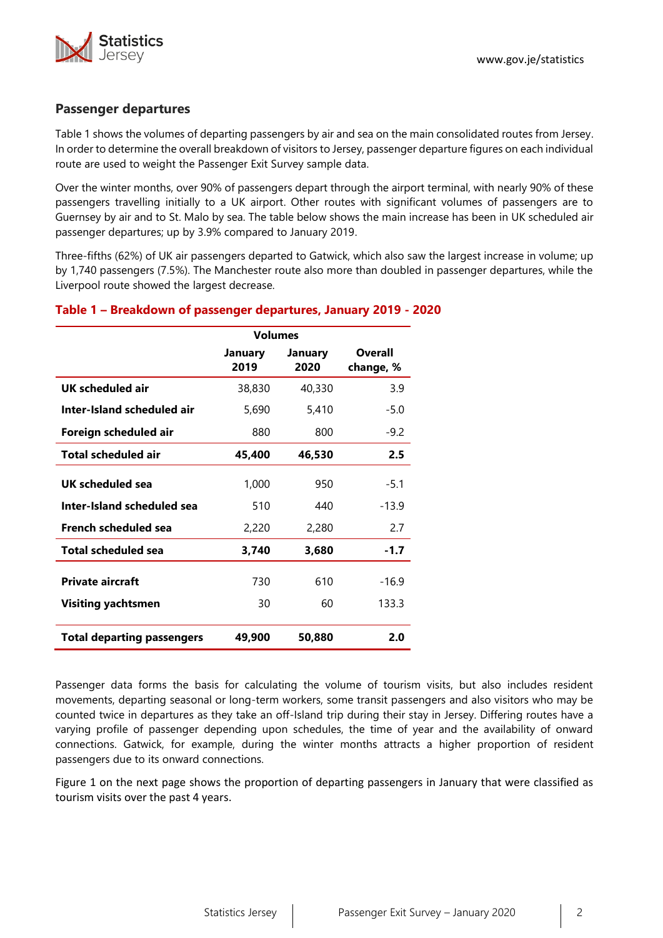

#### **Passenger departures**

Table 1 shows the volumes of departing passengers by air and sea on the main consolidated routes from Jersey. In order to determine the overall breakdown of visitors to Jersey, passenger departure figures on each individual route are used to weight the Passenger Exit Survey sample data.

Over the winter months, over 90% of passengers depart through the airport terminal, with nearly 90% of these passengers travelling initially to a UK airport. Other routes with significant volumes of passengers are to Guernsey by air and to St. Malo by sea. The table below shows the main increase has been in UK scheduled air passenger departures; up by 3.9% compared to January 2019.

Three-fifths (62%) of UK air passengers departed to Gatwick, which also saw the largest increase in volume; up by 1,740 passengers (7.5%). The Manchester route also more than doubled in passenger departures, while the Liverpool route showed the largest decrease.

|                                   | <b>Volumes</b>  |                 |                      |
|-----------------------------------|-----------------|-----------------|----------------------|
|                                   | January<br>2019 | January<br>2020 | Overall<br>change, % |
| UK scheduled air                  | 38,830          | 40,330          | 3.9                  |
| Inter-Island scheduled air        | 5,690           | 5,410           | $-5.0$               |
| Foreign scheduled air             | 880             | 800             | $-9.2$               |
| <b>Total scheduled air</b>        | 45,400          | 46,530          | 2.5                  |
| UK scheduled sea                  | 1,000           | 950             | $-5.1$               |
| Inter-Island scheduled sea        | 510             | 440             | -13.9                |
| <b>French scheduled sea</b>       | 2,220           | 2,280           | 2.7                  |
| <b>Total scheduled sea</b>        | 3,740           | 3,680           | $-1.7$               |
| <b>Private aircraft</b>           | 730             | 610             | $-16.9$              |
| <b>Visiting yachtsmen</b>         | 30              | 60              | 133.3                |
| <b>Total departing passengers</b> | 49,900          | 50,880          | 2.0                  |

#### **Table 1 – Breakdown of passenger departures, January 2019 - 2020**

Passenger data forms the basis for calculating the volume of tourism visits, but also includes resident movements, departing seasonal or long-term workers, some transit passengers and also visitors who may be counted twice in departures as they take an off-Island trip during their stay in Jersey. Differing routes have a varying profile of passenger depending upon schedules, the time of year and the availability of onward connections. Gatwick, for example, during the winter months attracts a higher proportion of resident passengers due to its onward connections.

Figure 1 on the next page shows the proportion of departing passengers in January that were classified as tourism visits over the past 4 years.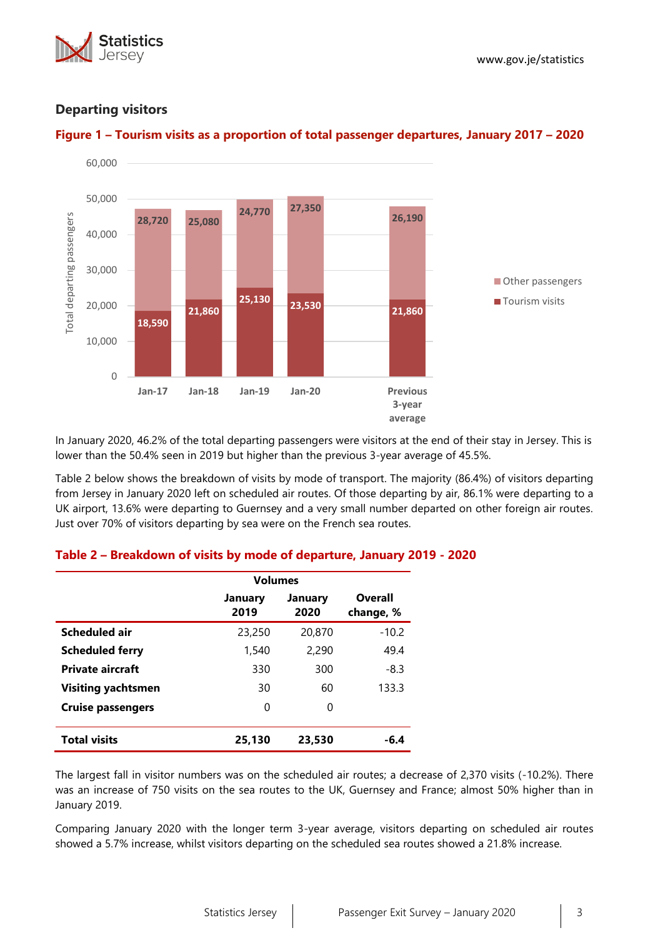





# **Departing visitors**



In January 2020, 46.2% of the total departing passengers were visitors at the end of their stay in Jersey. This is lower than the 50.4% seen in 2019 but higher than the previous 3-year average of 45.5%.

Table 2 below shows the breakdown of visits by mode of transport. The majority (86.4%) of visitors departing from Jersey in January 2020 left on scheduled air routes. Of those departing by air, 86.1% were departing to a UK airport, 13.6% were departing to Guernsey and a very small number departed on other foreign air routes. Just over 70% of visitors departing by sea were on the French sea routes.

|                           | <b>Volumes</b>  |                 |                      |
|---------------------------|-----------------|-----------------|----------------------|
|                           | January<br>2019 | January<br>2020 | Overall<br>change, % |
| Scheduled air             | 23,250          | 20,870          | $-10.2$              |
| <b>Scheduled ferry</b>    | 1,540           | 2,290           | 49.4                 |
| <b>Private aircraft</b>   | 330             | 300             | $-8.3$               |
| <b>Visiting yachtsmen</b> | 30              | 60              | 133.3                |
| <b>Cruise passengers</b>  | 0               | 0               |                      |
| <b>Total visits</b>       | 25,130          | 23,530          | -6.4                 |

# **Table 2 – Breakdown of visits by mode of departure, January 2019 - 2020**

The largest fall in visitor numbers was on the scheduled air routes; a decrease of 2,370 visits (-10.2%). There was an increase of 750 visits on the sea routes to the UK, Guernsey and France; almost 50% higher than in January 2019.

Comparing January 2020 with the longer term 3-year average, visitors departing on scheduled air routes showed a 5.7% increase, whilst visitors departing on the scheduled sea routes showed a 21.8% increase.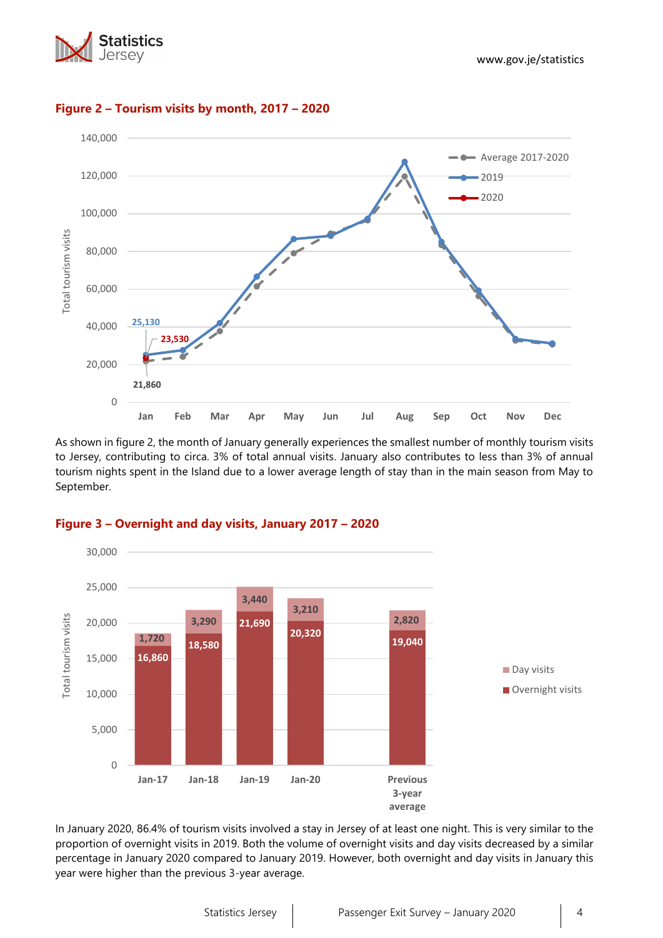



## **Figure 2 – Tourism visits by month, 2017 – 2020**

As shown in figure 2, the month of January generally experiences the smallest number of monthly tourism visits to Jersey, contributing to circa. 3% of total annual visits. January also contributes to less than 3% of annual tourism nights spent in the Island due to a lower average length of stay than in the main season from May to September.



#### **Figure 3 – Overnight and day visits, January 2017 – 2020**

In January 2020, 86.4% of tourism visits involved a stay in Jersey of at least one night. This is very similar to the proportion of overnight visits in 2019. Both the volume of overnight visits and day visits decreased by a similar percentage in January 2020 compared to January 2019. However, both overnight and day visits in January this year were higher than the previous 3-year average.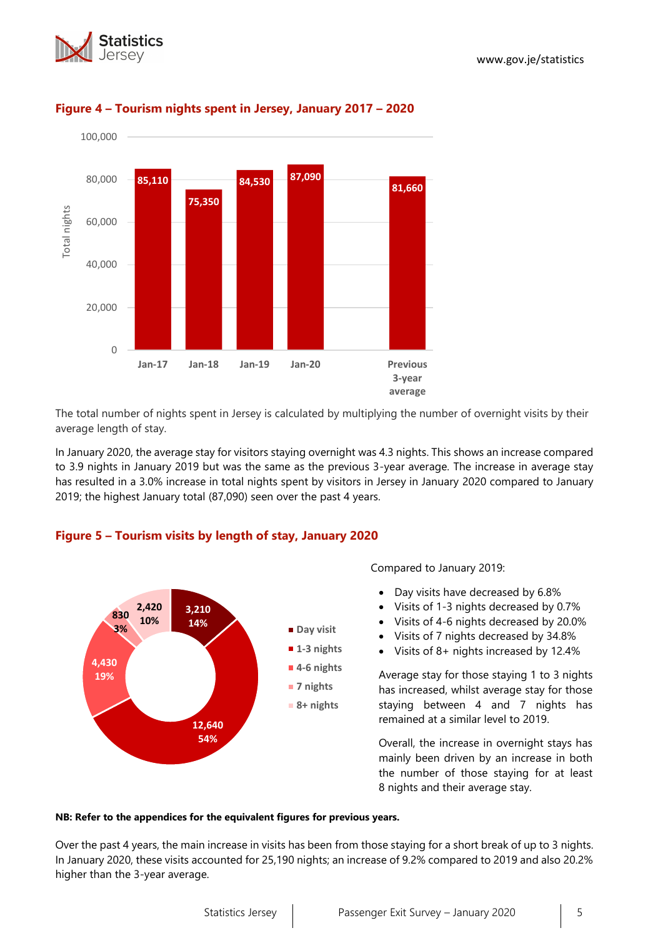



# **Figure 4 – Tourism nights spent in Jersey, January 2017 – 2020**

The total number of nights spent in Jersey is calculated by multiplying the number of overnight visits by their average length of stay.

In January 2020, the average stay for visitors staying overnight was 4.3 nights. This shows an increase compared to 3.9 nights in January 2019 but was the same as the previous 3-year average. The increase in average stay has resulted in a 3.0% increase in total nights spent by visitors in Jersey in January 2020 compared to January 2019; the highest January total (87,090) seen over the past 4 years.

## **Figure 5 – Tourism visits by length of stay, January 2020**



Compared to January 2019:

- Day visits have decreased by 6.8%
- Visits of 1-3 nights decreased by 0.7%
- Visits of 4-6 nights decreased by 20.0%
- Visits of 7 nights decreased by 34.8%
- Visits of 8+ nights increased by 12.4%

Average stay for those staying 1 to 3 nights has increased, whilst average stay for those staying between 4 and 7 nights has remained at a similar level to 2019.

Overall, the increase in overnight stays has mainly been driven by an increase in both the number of those staying for at least 8 nights and their average stay.

#### **NB: Refer to the appendices for the equivalent figures for previous years.**

Over the past 4 years, the main increase in visits has been from those staying for a short break of up to 3 nights. In January 2020, these visits accounted for 25,190 nights; an increase of 9.2% compared to 2019 and also 20.2% higher than the 3-year average.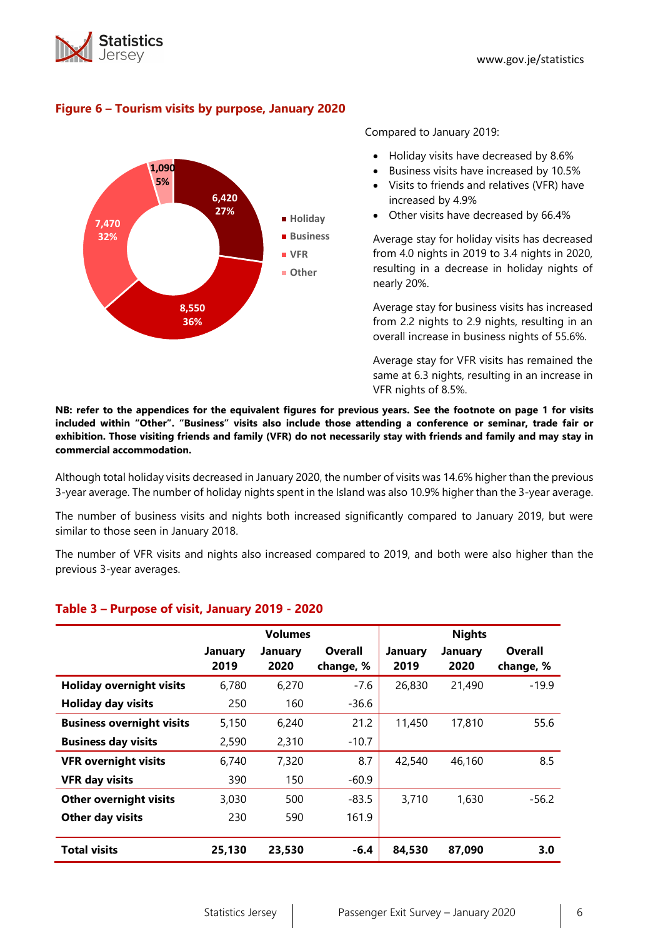



# **Figure 6 – Tourism visits by purpose, January 2020**

Compared to January 2019:

- Holiday visits have decreased by 8.6%
- Business visits have increased by 10.5%
- Visits to friends and relatives (VFR) have increased by 4.9%
- Other visits have decreased by 66.4%

Average stay for holiday visits has decreased from 4.0 nights in 2019 to 3.4 nights in 2020, resulting in a decrease in holiday nights of nearly 20%.

Average stay for business visits has increased from 2.2 nights to 2.9 nights, resulting in an overall increase in business nights of 55.6%.

Average stay for VFR visits has remained the same at 6.3 nights, resulting in an increase in VFR nights of 8.5%.

**NB: refer to the appendices for the equivalent figures for previous years. See the footnote on page 1 for visits included within "Other". "Business" visits also include those attending a conference or seminar, trade fair or exhibition. Those visiting friends and family (VFR) do not necessarily stay with friends and family and may stay in commercial accommodation.**

Although total holiday visits decreased in January 2020, the number of visits was 14.6% higher than the previous 3-year average. The number of holiday nights spent in the Island was also 10.9% higher than the 3-year average.

The number of business visits and nights both increased significantly compared to January 2019, but were similar to those seen in January 2018.

The number of VFR visits and nights also increased compared to 2019, and both were also higher than the previous 3-year averages.

|                                  |                        | <b>Volumes</b>  |                      | <b>Nights</b>          |                        |                             |  |
|----------------------------------|------------------------|-----------------|----------------------|------------------------|------------------------|-----------------------------|--|
|                                  | <b>January</b><br>2019 | January<br>2020 | Overall<br>change, % | <b>January</b><br>2019 | <b>January</b><br>2020 | <b>Overall</b><br>change, % |  |
| <b>Holiday overnight visits</b>  | 6,780                  | 6,270           | $-7.6$               | 26,830<br>21,490       |                        | $-19.9$                     |  |
| <b>Holiday day visits</b>        | 250                    | 160             | $-36.6$              |                        |                        |                             |  |
| <b>Business overnight visits</b> | 5,150                  | 6,240           | 21.2                 | 11,450                 | 17,810                 | 55.6                        |  |
| <b>Business day visits</b>       | 2,590                  | 2,310           | $-10.7$              |                        |                        |                             |  |
| <b>VFR overnight visits</b>      | 6,740                  | 7,320           | 8.7                  | 42,540                 | 46,160                 | 8.5                         |  |
| <b>VFR day visits</b>            | 390                    | 150             | $-60.9$              |                        |                        |                             |  |
| <b>Other overnight visits</b>    | 3,030                  | 500             | $-83.5$              | 3,710                  | 1,630                  | $-56.2$                     |  |
| Other day visits                 | 230                    | 590             | 161.9                |                        |                        |                             |  |
| <b>Total visits</b>              | 25,130                 | 23,530          | $-6.4$               | 84,530                 | 87,090                 | 3.0                         |  |

## **Table 3 – Purpose of visit, January 2019 - 2020**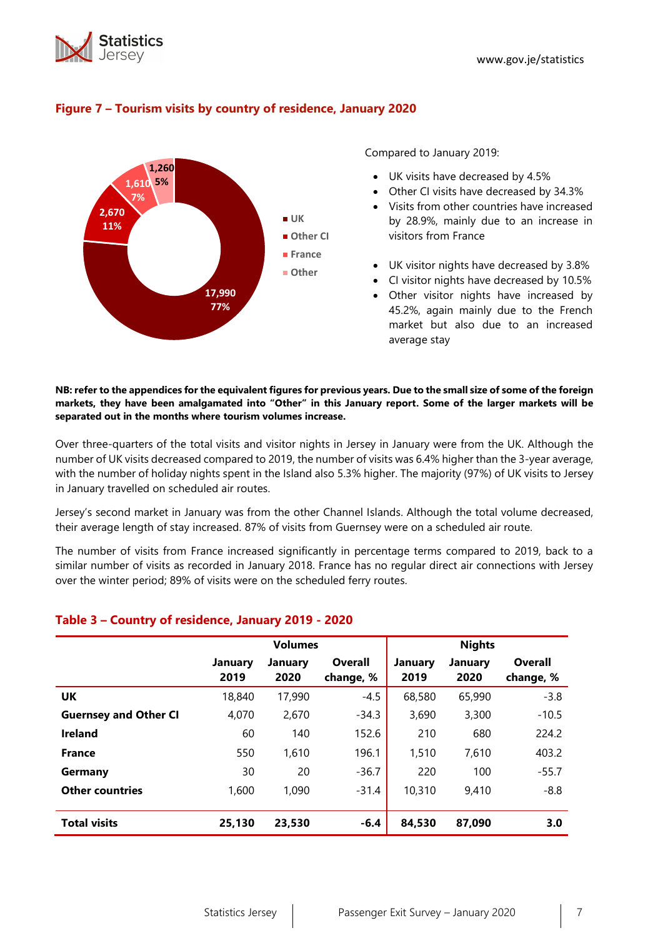



## **Figure 7 – Tourism visits by country of residence, January 2020**

Compared to January 2019:

- UK visits have decreased by 4.5%
- Other CI visits have decreased by 34.3%
- Visits from other countries have increased by 28.9%, mainly due to an increase in visitors from France
- UK visitor nights have decreased by 3.8%
- CI visitor nights have decreased by 10.5%
- Other visitor nights have increased by 45.2%, again mainly due to the French market but also due to an increased average stay

#### **NB: refer to the appendices for the equivalent figures for previous years. Due to the small size of some of the foreign markets, they have been amalgamated into "Other" in this January report. Some of the larger markets will be separated out in the months where tourism volumes increase.**

Over three-quarters of the total visits and visitor nights in Jersey in January were from the UK. Although the number of UK visits decreased compared to 2019, the number of visits was 6.4% higher than the 3-year average, with the number of holiday nights spent in the Island also 5.3% higher. The majority (97%) of UK visits to Jersey in January travelled on scheduled air routes.

Jersey's second market in January was from the other Channel Islands. Although the total volume decreased, their average length of stay increased. 87% of visits from Guernsey were on a scheduled air route.

The number of visits from France increased significantly in percentage terms compared to 2019, back to a similar number of visits as recorded in January 2018. France has no regular direct air connections with Jersey over the winter period; 89% of visits were on the scheduled ferry routes.

## **Table 3 – Country of residence, January 2019 - 2020**

|                              |                 | <b>Volumes</b>         |                      | <b>Nights</b>   |                 |                      |  |
|------------------------------|-----------------|------------------------|----------------------|-----------------|-----------------|----------------------|--|
|                              | January<br>2019 | <b>January</b><br>2020 | Overall<br>change, % | January<br>2019 | January<br>2020 | Overall<br>change, % |  |
| UK                           | 18,840          | 17,990                 | $-4.5$               | 68,580          | 65,990          | $-3.8$               |  |
| <b>Guernsey and Other CI</b> | 4,070           | 2,670                  | $-34.3$              | 3,690           | 3,300           | $-10.5$              |  |
| <b>Ireland</b>               | 60              | 140                    | 152.6                | 210             | 680             | 224.2                |  |
| <b>France</b>                | 550             | 1,610                  | 196.1                | 1,510           | 7,610           | 403.2                |  |
| Germany                      | 30              | 20                     | $-36.7$              | 220             | 100             | $-55.7$              |  |
| <b>Other countries</b>       | 1,600           | 1,090                  | $-31.4$              | 10,310          | 9,410           | $-8.8$               |  |
| <b>Total visits</b>          | 25,130          | 23,530                 | $-6.4$               | 84,530          | 87,090          | 3.0                  |  |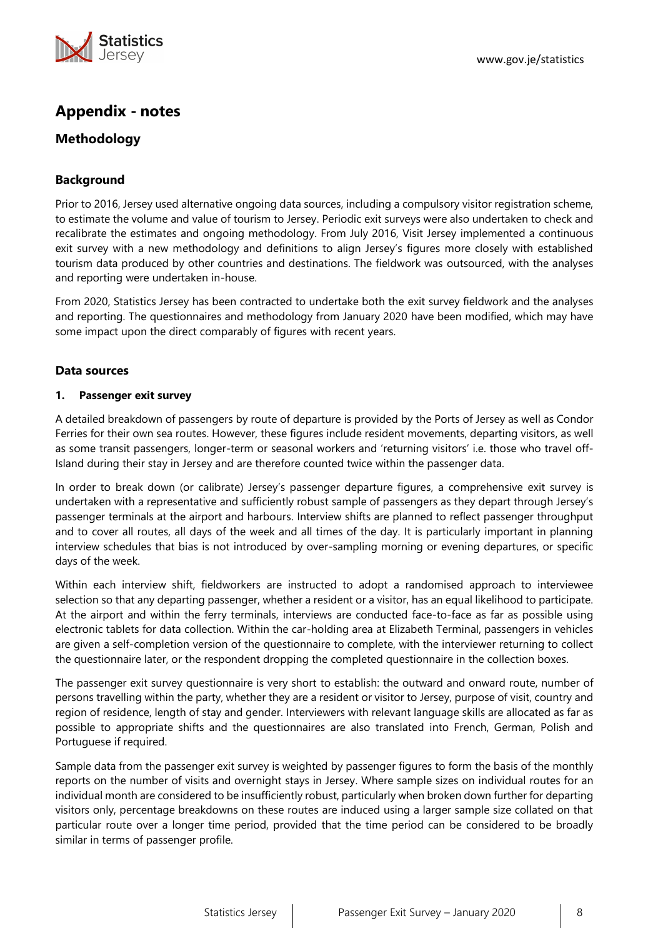

# **Appendix - notes**

# **Methodology**

# **Background**

Prior to 2016, Jersey used alternative ongoing data sources, including a compulsory visitor registration scheme, to estimate the volume and value of tourism to Jersey. Periodic exit surveys were also undertaken to check and recalibrate the estimates and ongoing methodology. From July 2016, Visit Jersey implemented a continuous exit survey with a new methodology and definitions to align Jersey's figures more closely with established tourism data produced by other countries and destinations. The fieldwork was outsourced, with the analyses and reporting were undertaken in-house.

From 2020, Statistics Jersey has been contracted to undertake both the exit survey fieldwork and the analyses and reporting. The questionnaires and methodology from January 2020 have been modified, which may have some impact upon the direct comparably of figures with recent years.

#### **Data sources**

#### **1. Passenger exit survey**

A detailed breakdown of passengers by route of departure is provided by the Ports of Jersey as well as Condor Ferries for their own sea routes. However, these figures include resident movements, departing visitors, as well as some transit passengers, longer-term or seasonal workers and 'returning visitors' i.e. those who travel off-Island during their stay in Jersey and are therefore counted twice within the passenger data.

In order to break down (or calibrate) Jersey's passenger departure figures, a comprehensive exit survey is undertaken with a representative and sufficiently robust sample of passengers as they depart through Jersey's passenger terminals at the airport and harbours. Interview shifts are planned to reflect passenger throughput and to cover all routes, all days of the week and all times of the day. It is particularly important in planning interview schedules that bias is not introduced by over-sampling morning or evening departures, or specific days of the week.

Within each interview shift, fieldworkers are instructed to adopt a randomised approach to interviewee selection so that any departing passenger, whether a resident or a visitor, has an equal likelihood to participate. At the airport and within the ferry terminals, interviews are conducted face-to-face as far as possible using electronic tablets for data collection. Within the car-holding area at Elizabeth Terminal, passengers in vehicles are given a self-completion version of the questionnaire to complete, with the interviewer returning to collect the questionnaire later, or the respondent dropping the completed questionnaire in the collection boxes.

The passenger exit survey questionnaire is very short to establish: the outward and onward route, number of persons travelling within the party, whether they are a resident or visitor to Jersey, purpose of visit, country and region of residence, length of stay and gender. Interviewers with relevant language skills are allocated as far as possible to appropriate shifts and the questionnaires are also translated into French, German, Polish and Portuguese if required.

Sample data from the passenger exit survey is weighted by passenger figures to form the basis of the monthly reports on the number of visits and overnight stays in Jersey. Where sample sizes on individual routes for an individual month are considered to be insufficiently robust, particularly when broken down further for departing visitors only, percentage breakdowns on these routes are induced using a larger sample size collated on that particular route over a longer time period, provided that the time period can be considered to be broadly similar in terms of passenger profile.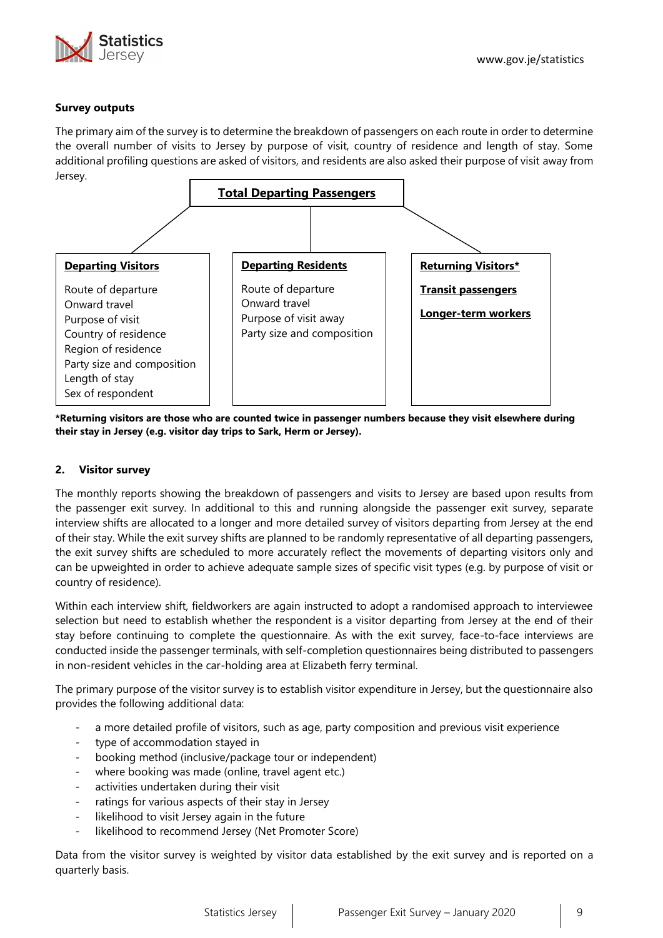

#### **Survey outputs**

The primary aim of the survey is to determine the breakdown of passengers on each route in order to determine the overall number of visits to Jersey by purpose of visit, country of residence and length of stay. Some additional profiling questions are asked of visitors, and residents are also asked their purpose of visit away from Jersey.



**\*Returning visitors are those who are counted twice in passenger numbers because they visit elsewhere during their stay in Jersey (e.g. visitor day trips to Sark, Herm or Jersey).**

#### **2. Visitor survey**

The monthly reports showing the breakdown of passengers and visits to Jersey are based upon results from the passenger exit survey. In additional to this and running alongside the passenger exit survey, separate interview shifts are allocated to a longer and more detailed survey of visitors departing from Jersey at the end of their stay. While the exit survey shifts are planned to be randomly representative of all departing passengers, the exit survey shifts are scheduled to more accurately reflect the movements of departing visitors only and can be upweighted in order to achieve adequate sample sizes of specific visit types (e.g. by purpose of visit or country of residence).

Within each interview shift, fieldworkers are again instructed to adopt a randomised approach to interviewee selection but need to establish whether the respondent is a visitor departing from Jersey at the end of their stay before continuing to complete the questionnaire. As with the exit survey, face-to-face interviews are conducted inside the passenger terminals, with self-completion questionnaires being distributed to passengers in non-resident vehicles in the car-holding area at Elizabeth ferry terminal.

The primary purpose of the visitor survey is to establish visitor expenditure in Jersey, but the questionnaire also provides the following additional data:

- a more detailed profile of visitors, such as age, party composition and previous visit experience
- type of accommodation stayed in
- booking method (inclusive/package tour or independent)
- where booking was made (online, travel agent etc.)
- activities undertaken during their visit
- ratings for various aspects of their stay in Jersey
- likelihood to visit Jersey again in the future
- likelihood to recommend Jersey (Net Promoter Score)

Data from the visitor survey is weighted by visitor data established by the exit survey and is reported on a quarterly basis.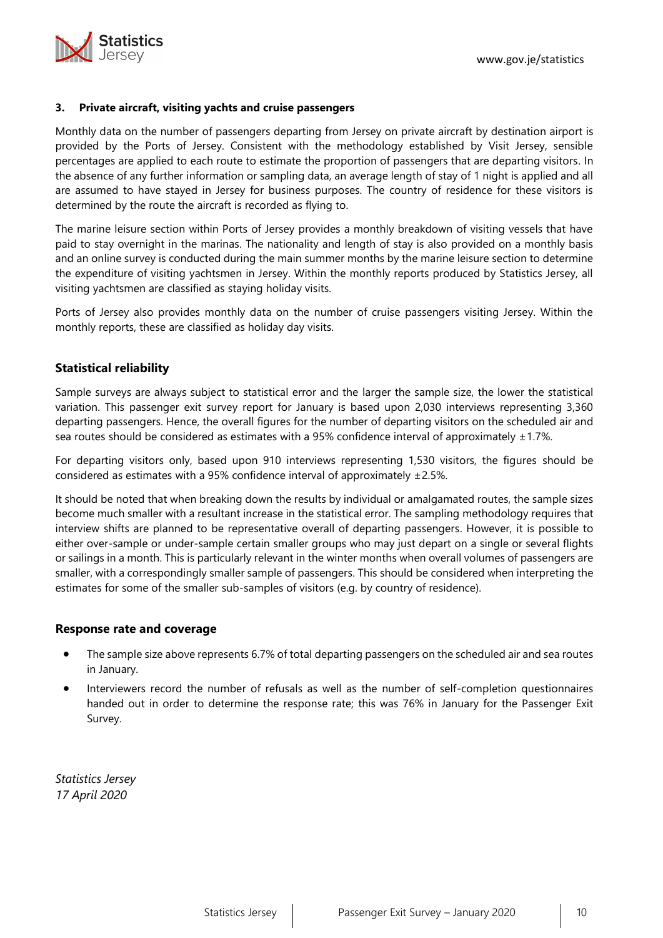

#### **3. Private aircraft, visiting yachts and cruise passengers**

Monthly data on the number of passengers departing from Jersey on private aircraft by destination airport is provided by the Ports of Jersey. Consistent with the methodology established by Visit Jersey, sensible percentages are applied to each route to estimate the proportion of passengers that are departing visitors. In the absence of any further information or sampling data, an average length of stay of 1 night is applied and all are assumed to have stayed in Jersey for business purposes. The country of residence for these visitors is determined by the route the aircraft is recorded as flying to.

The marine leisure section within Ports of Jersey provides a monthly breakdown of visiting vessels that have paid to stay overnight in the marinas. The nationality and length of stay is also provided on a monthly basis and an online survey is conducted during the main summer months by the marine leisure section to determine the expenditure of visiting yachtsmen in Jersey. Within the monthly reports produced by Statistics Jersey, all visiting yachtsmen are classified as staying holiday visits.

Ports of Jersey also provides monthly data on the number of cruise passengers visiting Jersey. Within the monthly reports, these are classified as holiday day visits.

## **Statistical reliability**

Sample surveys are always subject to statistical error and the larger the sample size, the lower the statistical variation. This passenger exit survey report for January is based upon 2,030 interviews representing 3,360 departing passengers. Hence, the overall figures for the number of departing visitors on the scheduled air and sea routes should be considered as estimates with a 95% confidence interval of approximately  $\pm$  1.7%.

For departing visitors only, based upon 910 interviews representing 1,530 visitors, the figures should be considered as estimates with a 95% confidence interval of approximately ±2.5%.

It should be noted that when breaking down the results by individual or amalgamated routes, the sample sizes become much smaller with a resultant increase in the statistical error. The sampling methodology requires that interview shifts are planned to be representative overall of departing passengers. However, it is possible to either over-sample or under-sample certain smaller groups who may just depart on a single or several flights or sailings in a month. This is particularly relevant in the winter months when overall volumes of passengers are smaller, with a correspondingly smaller sample of passengers. This should be considered when interpreting the estimates for some of the smaller sub-samples of visitors (e.g. by country of residence).

#### **Response rate and coverage**

- The sample size above represents 6.7% of total departing passengers on the scheduled air and sea routes in January.
- Interviewers record the number of refusals as well as the number of self-completion questionnaires handed out in order to determine the response rate; this was 76% in January for the Passenger Exit Survey.

*Statistics Jersey 17 April 2020*